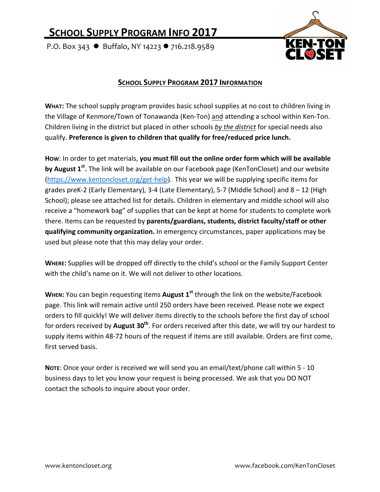## **SCHOOL SUPPLY PROGRAM INFO 2017**

P.O. Box 343  $\bullet$  Buffalo, NY 14223  $\bullet$  716.218.9589



## **SCHOOL SUPPLY PROGRAM 2017 INFORMATION**

**WHAT:** The school supply program provides basic school supplies at no cost to children living in the Village of Kenmore/Town of Tonawanda (Ken-Ton) and attending a school within Ken-Ton. Children living in the district but placed in other schools by the district for special needs also qualify. Preference is given to children that qualify for free/reduced price lunch.

How: In order to get materials, **you must fill out the online order form which will be available by August 1<sup>st</sup>**. The link will be available on our Facebook page (KenTonCloset) and our website (https://www.kentoncloset.org/get-help). This year we will be supplying specific items for grades preK-2 (Early Elementary), 3-4 (Late Elementary), 5-7 (Middle School) and  $8 - 12$  (High School); please see attached list for details. Children in elementary and middle school will also receive a "homework bag" of supplies that can be kept at home for students to complete work there. Items can be requested by parents/guardians, students, district faculty/staff or other **qualifying community organization.** In emergency circumstances, paper applications may be used but please note that this may delay your order.

WHERE: Supplies will be dropped off directly to the child's school or the Family Support Center with the child's name on it. We will not deliver to other locations.

**WHEN:** You can begin requesting items **August 1<sup>st</sup>** through the link on the website/Facebook page. This link will remain active until 250 orders have been received. Please note we expect orders to fill quickly! We will deliver items directly to the schools before the first day of school for orders received by **August 30<sup>th</sup>**. For orders received after this date, we will try our hardest to supply items within 48-72 hours of the request if items are still available. Orders are first come, first served basis.

NOTE: Once your order is received we will send you an email/text/phone call within 5 - 10 business days to let you know your request is being processed. We ask that you DO NOT contact the schools to inquire about your order.